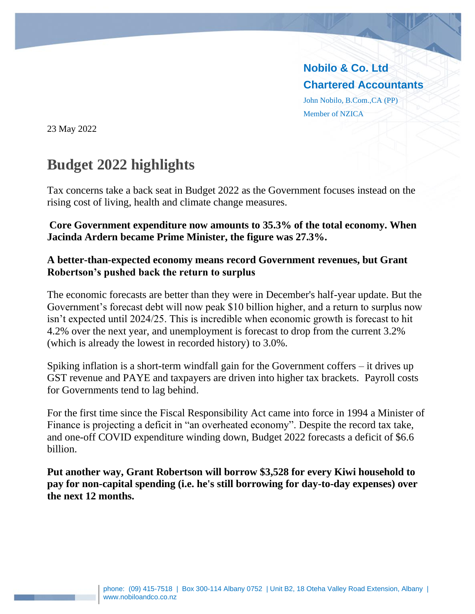**Nobilo & Co. Ltd Chartered Accountants** John Nobilo, B.Com.,CA (PP) Member of NZICA

23 May 2022

# **Budget 2022 highlights**

Tax concerns take a back seat in Budget 2022 as the Government focuses instead on the rising cost of living, health and climate change measures.

#### **Core Government expenditure now amounts to 35.3% of the total economy. When Jacinda Ardern became Prime Minister, the figure was 27.3%.**

#### **A better-than-expected economy means record Government revenues, but Grant Robertson's pushed back the return to surplus**

The economic forecasts are better than they were in December's half-year update. But the Government's forecast debt will now peak \$10 billion higher, and a return to surplus now isn't expected until 2024/25. This is incredible when economic growth is forecast to hit 4.2% over the next year, and unemployment is forecast to drop from the current 3.2% (which is already the lowest in recorded history) to 3.0%.

Spiking inflation is a short-term windfall gain for the Government coffers – it drives up GST revenue and PAYE and taxpayers are driven into higher tax brackets. Payroll costs for Governments tend to lag behind.

For the first time since the Fiscal Responsibility Act came into force in 1994 a Minister of Finance is projecting a deficit in "an overheated economy". Despite the record tax take, and one-off COVID expenditure winding down, Budget 2022 forecasts a deficit of \$6.6 billion.

**Put another way, Grant Robertson will borrow \$3,528 for every Kiwi household to pay for non-capital spending (i.e. he's still borrowing for day-to-day expenses) over the next 12 months.**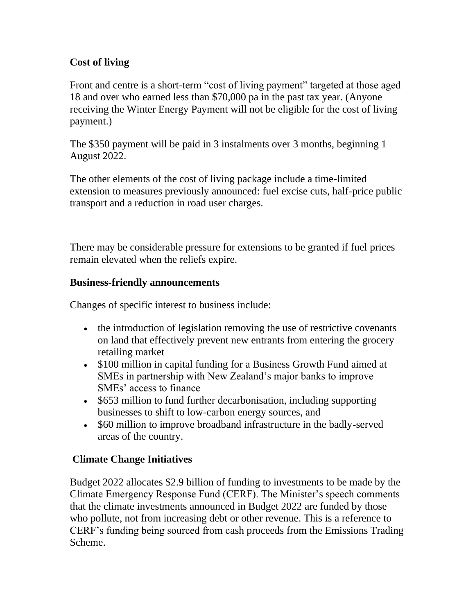## **Cost of living**

Front and centre is a short-term "cost of living payment" targeted at those aged 18 and over who earned less than \$70,000 pa in the past tax year. (Anyone receiving the Winter Energy Payment will not be eligible for the cost of living payment.)

The \$350 payment will be paid in 3 instalments over 3 months, beginning 1 August 2022.

The other elements of the cost of living package include a time-limited extension to measures previously announced: fuel excise cuts, half-price public transport and a reduction in road user charges.

There may be considerable pressure for extensions to be granted if fuel prices remain elevated when the reliefs expire.

### **Business-friendly announcements**

Changes of specific interest to business include:

- the introduction of legislation removing the use of restrictive covenants on land that effectively prevent new entrants from entering the grocery retailing market
- \$100 million in capital funding for a Business Growth Fund aimed at SMEs in partnership with New Zealand's major banks to improve SMEs' access to finance
- \$653 million to fund further decarbonisation, including supporting businesses to shift to low-carbon energy sources, and
- \$60 million to improve broadband infrastructure in the badly-served areas of the country.

## **Climate Change Initiatives**

Budget 2022 allocates \$2.9 billion of funding to investments to be made by the Climate Emergency Response Fund (CERF). The Minister's speech comments that the climate investments announced in Budget 2022 are funded by those who pollute, not from increasing debt or other revenue. This is a reference to CERF's funding being sourced from cash proceeds from the Emissions Trading Scheme.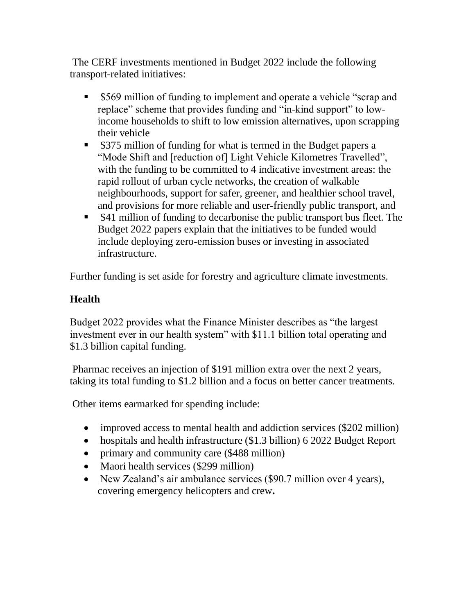The CERF investments mentioned in Budget 2022 include the following transport-related initiatives:

- \$569 million of funding to implement and operate a vehicle "scrap and replace" scheme that provides funding and "in-kind support" to lowincome households to shift to low emission alternatives, upon scrapping their vehicle
- \$375 million of funding for what is termed in the Budget papers a "Mode Shift and [reduction of] Light Vehicle Kilometres Travelled", with the funding to be committed to 4 indicative investment areas: the rapid rollout of urban cycle networks, the creation of walkable neighbourhoods, support for safer, greener, and healthier school travel, and provisions for more reliable and user-friendly public transport, and
- \$41 million of funding to decarbonise the public transport bus fleet. The Budget 2022 papers explain that the initiatives to be funded would include deploying zero-emission buses or investing in associated infrastructure.

Further funding is set aside for forestry and agriculture climate investments.

## **Health**

Budget 2022 provides what the Finance Minister describes as "the largest investment ever in our health system" with \$11.1 billion total operating and \$1.3 billion capital funding.

Pharmac receives an injection of \$191 million extra over the next 2 years, taking its total funding to \$1.2 billion and a focus on better cancer treatments.

Other items earmarked for spending include:

- improved access to mental health and addiction services (\$202 million)
- hospitals and health infrastructure (\$1.3 billion) 6 2022 Budget Report
- primary and community care (\$488 million)
- Maori health services (\$299 million)
- New Zealand's air ambulance services (\$90.7 million over 4 years), covering emergency helicopters and crew**.**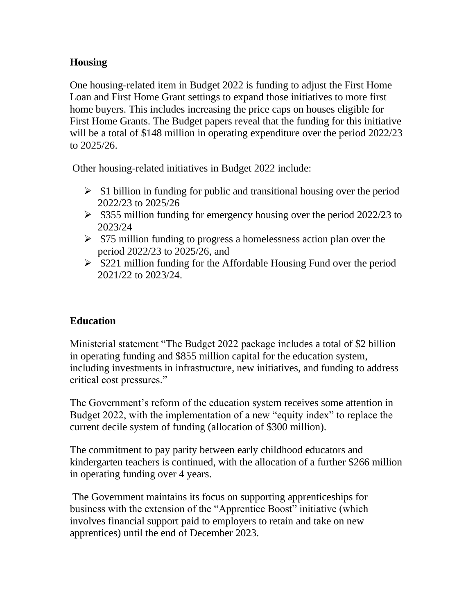## **Housing**

One housing-related item in Budget 2022 is funding to adjust the First Home Loan and First Home Grant settings to expand those initiatives to more first home buyers. This includes increasing the price caps on houses eligible for First Home Grants. The Budget papers reveal that the funding for this initiative will be a total of \$148 million in operating expenditure over the period 2022/23 to 2025/26.

Other housing-related initiatives in Budget 2022 include:

- $\triangleright$  \$1 billion in funding for public and transitional housing over the period 2022/23 to 2025/26
- $\triangleright$  \$355 million funding for emergency housing over the period 2022/23 to 2023/24
- $\triangleright$  \$75 million funding to progress a homelessness action plan over the period 2022/23 to 2025/26, and
- $\triangleright$  \$221 million funding for the Affordable Housing Fund over the period 2021/22 to 2023/24.

## **Education**

Ministerial statement "The Budget 2022 package includes a total of \$2 billion in operating funding and \$855 million capital for the education system, including investments in infrastructure, new initiatives, and funding to address critical cost pressures."

The Government's reform of the education system receives some attention in Budget 2022, with the implementation of a new "equity index" to replace the current decile system of funding (allocation of \$300 million).

The commitment to pay parity between early childhood educators and kindergarten teachers is continued, with the allocation of a further \$266 million in operating funding over 4 years.

The Government maintains its focus on supporting apprenticeships for business with the extension of the "Apprentice Boost" initiative (which involves financial support paid to employers to retain and take on new apprentices) until the end of December 2023.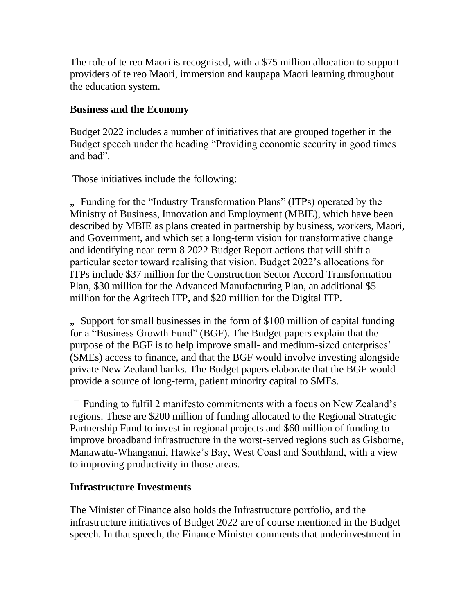The role of te reo Maori is recognised, with a \$75 million allocation to support providers of te reo Maori, immersion and kaupapa Maori learning throughout the education system.

#### **Business and the Economy**

Budget 2022 includes a number of initiatives that are grouped together in the Budget speech under the heading "Providing economic security in good times and bad".

Those initiatives include the following:

"... Funding for the "Industry Transformation Plans" (ITPs) operated by the Ministry of Business, Innovation and Employment (MBIE), which have been described by MBIE as plans created in partnership by business, workers, Maori, and Government, and which set a long-term vision for transformative change and identifying near-term 8 2022 Budget Report actions that will shift a particular sector toward realising that vision. Budget 2022's allocations for ITPs include \$37 million for the Construction Sector Accord Transformation Plan, \$30 million for the Advanced Manufacturing Plan, an additional \$5 million for the Agritech ITP, and \$20 million for the Digital ITP.

", Support for small businesses in the form of \$100 million of capital funding for a "Business Growth Fund" (BGF). The Budget papers explain that the purpose of the BGF is to help improve small- and medium-sized enterprises' (SMEs) access to finance, and that the BGF would involve investing alongside private New Zealand banks. The Budget papers elaborate that the BGF would provide a source of long-term, patient minority capital to SMEs.

 $\Box$  Funding to fulfil 2 manifesto commitments with a focus on New Zealand's regions. These are \$200 million of funding allocated to the Regional Strategic Partnership Fund to invest in regional projects and \$60 million of funding to improve broadband infrastructure in the worst-served regions such as Gisborne, Manawatu-Whanganui, Hawke's Bay, West Coast and Southland, with a view to improving productivity in those areas.

### **Infrastructure Investments**

The Minister of Finance also holds the Infrastructure portfolio, and the infrastructure initiatives of Budget 2022 are of course mentioned in the Budget speech. In that speech, the Finance Minister comments that underinvestment in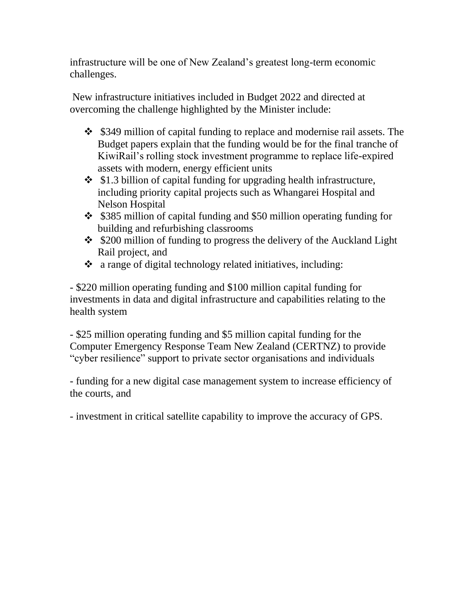infrastructure will be one of New Zealand's greatest long-term economic challenges.

New infrastructure initiatives included in Budget 2022 and directed at overcoming the challenge highlighted by the Minister include:

- ❖ \$349 million of capital funding to replace and modernise rail assets. The Budget papers explain that the funding would be for the final tranche of KiwiRail's rolling stock investment programme to replace life-expired assets with modern, energy efficient units
- ❖ \$1.3 billion of capital funding for upgrading health infrastructure, including priority capital projects such as Whangarei Hospital and Nelson Hospital
- ❖ \$385 million of capital funding and \$50 million operating funding for building and refurbishing classrooms
- ❖ \$200 million of funding to progress the delivery of the Auckland Light Rail project, and
- ❖ a range of digital technology related initiatives, including:

- \$220 million operating funding and \$100 million capital funding for investments in data and digital infrastructure and capabilities relating to the health system

- \$25 million operating funding and \$5 million capital funding for the Computer Emergency Response Team New Zealand (CERTNZ) to provide "cyber resilience" support to private sector organisations and individuals

- funding for a new digital case management system to increase efficiency of the courts, and

- investment in critical satellite capability to improve the accuracy of GPS.